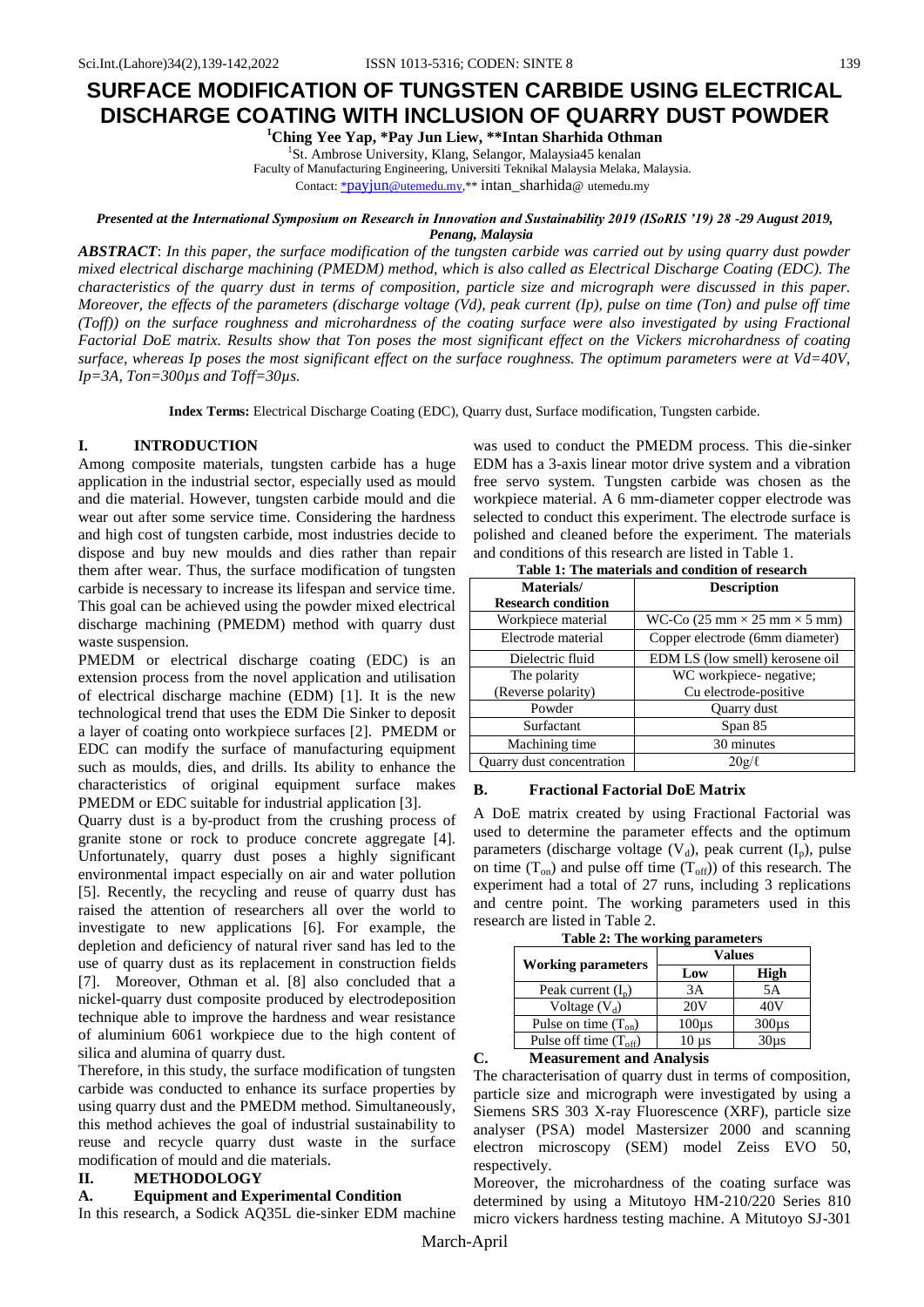**<sup>1</sup>Ching Yee Yap, \*Pay Jun Liew, \*\*Intan Sharhida Othman**

<sup>1</sup>St. Ambrose University, Klang, Selangor, Malaysia45 kenalan Faculty of Manufacturing Engineering, Universiti Teknikal Malaysia Melaka, Malaysia.

Contact: \*payjun[@utemedu.my,\\*](mailto:*payjun@utemedu.my)\* intan\_sharhida@ utemedu.my

#### *Presented at the International Symposium on Research in Innovation and Sustainability 2019 (ISoRIS '19) 28 -29 August 2019, Penang, Malaysia*

*ABSTRACT*: *In this paper, the surface modification of the tungsten carbide was carried out by using quarry dust powder mixed electrical discharge machining (PMEDM) method, which is also called as Electrical Discharge Coating (EDC). The characteristics of the quarry dust in terms of composition, particle size and micrograph were discussed in this paper. Moreover, the effects of the parameters (discharge voltage (Vd), peak current (Ip), pulse on time (Ton) and pulse off time (Toff)) on the surface roughness and microhardness of the coating surface were also investigated by using Fractional Factorial DoE matrix. Results show that Ton poses the most significant effect on the Vickers microhardness of coating surface, whereas Ip poses the most significant effect on the surface roughness. The optimum parameters were at Vd=40V, Ip=3A, Ton=300µs and Toff=30µs.*

**Index Terms:** Electrical Discharge Coating (EDC), Quarry dust, Surface modification, Tungsten carbide.

## **I. INTRODUCTION**

Among composite materials, tungsten carbide has a huge application in the industrial sector, especially used as mould and die material. However, tungsten carbide mould and die wear out after some service time. Considering the hardness and high cost of tungsten carbide, most industries decide to dispose and buy new moulds and dies rather than repair them after wear. Thus, the surface modification of tungsten carbide is necessary to increase its lifespan and service time. This goal can be achieved using the powder mixed electrical discharge machining (PMEDM) method with quarry dust waste suspension.

PMEDM or electrical discharge coating (EDC) is an extension process from the novel application and utilisation of electrical discharge machine (EDM) [1]. It is the new technological trend that uses the EDM Die Sinker to deposit a layer of coating onto workpiece surfaces [2]. PMEDM or EDC can modify the surface of manufacturing equipment such as moulds, dies, and drills. Its ability to enhance the characteristics of original equipment surface makes PMEDM or EDC suitable for industrial application [3].

Quarry dust is a by-product from the crushing process of granite stone or rock to produce concrete aggregate [4]. Unfortunately, quarry dust poses a highly significant environmental impact especially on air and water pollution [5]. Recently, the recycling and reuse of quarry dust has raised the attention of researchers all over the world to investigate to new applications [6]. For example, the depletion and deficiency of natural river sand has led to the use of quarry dust as its replacement in construction fields [7]. Moreover, Othman et al. [8] also concluded that a nickel-quarry dust composite produced by electrodeposition technique able to improve the hardness and wear resistance of aluminium 6061 workpiece due to the high content of silica and alumina of quarry dust.

Therefore, in this study, the surface modification of tungsten carbide was conducted to enhance its surface properties by using quarry dust and the PMEDM method. Simultaneously, this method achieves the goal of industrial sustainability to reuse and recycle quarry dust waste in the surface modification of mould and die materials.

## **II. METHODOLOGY**

### **A. Equipment and Experimental Condition**

In this research, a Sodick AQ35L die-sinker EDM machine

was used to conduct the PMEDM process. This die-sinker EDM has a 3-axis linear motor drive system and a vibration free servo system. Tungsten carbide was chosen as the workpiece material. A 6 mm-diameter copper electrode was selected to conduct this experiment. The electrode surface is polished and cleaned before the experiment. The materials and conditions of this research are listed in Table 1.

| Table 1: The materials and condition of research |                                                                  |  |  |  |  |  |
|--------------------------------------------------|------------------------------------------------------------------|--|--|--|--|--|
| Materials/                                       | <b>Description</b>                                               |  |  |  |  |  |
| <b>Research condition</b>                        |                                                                  |  |  |  |  |  |
| Workpiece material                               | WC-Co $(25 \text{ mm} \times 25 \text{ mm} \times 5 \text{ mm})$ |  |  |  |  |  |
| Electrode material                               | Copper electrode (6mm diameter)                                  |  |  |  |  |  |
| Dielectric fluid                                 | EDM LS (low smell) kerosene oil                                  |  |  |  |  |  |
| The polarity                                     | WC workpiece- negative;                                          |  |  |  |  |  |
| (Reverse polarity)                               | Cu electrode-positive                                            |  |  |  |  |  |
| Powder                                           | Quarry dust                                                      |  |  |  |  |  |
| Surfactant                                       | Span 85                                                          |  |  |  |  |  |
| Machining time                                   | 30 minutes                                                       |  |  |  |  |  |
| Quarry dust concentration                        | $20g/\ell$                                                       |  |  |  |  |  |

### **B. Fractional Factorial DoE Matrix**

A DoE matrix created by using Fractional Factorial was used to determine the parameter effects and the optimum parameters (discharge voltage  $(V_d)$ , peak current  $(I_n)$ , pulse on time  $(T_{on})$  and pulse off time  $(T_{off})$  of this research. The experiment had a total of 27 runs, including 3 replications and centre point. The working parameters used in this research are listed in Table 2.

| rasive $\blacksquare$ . The working parameters |                   |                   |  |  |  |  |  |
|------------------------------------------------|-------------------|-------------------|--|--|--|--|--|
|                                                | Values            |                   |  |  |  |  |  |
| <b>Working parameters</b>                      | Low               | <b>High</b>       |  |  |  |  |  |
| Peak current $(I_p)$                           | 3A                | 5A                |  |  |  |  |  |
| Voltage $(V_d)$                                | 20V               | 40V               |  |  |  |  |  |
| Pulse on time $(T_{on})$                       | 100 <sub>µs</sub> | 300 <sub>µs</sub> |  |  |  |  |  |
| Pulse off time $(T_{off})$                     | 10 µs             | $30\mu s$         |  |  |  |  |  |
|                                                |                   |                   |  |  |  |  |  |

**Table 2: The working parameters**

| C. | <b>Measurement and Analysis</b> |
|----|---------------------------------|
|----|---------------------------------|

The characterisation of quarry dust in terms of composition, particle size and micrograph were investigated by using a Siemens SRS 303 X-ray Fluorescence (XRF), particle size analyser (PSA) model Mastersizer 2000 and scanning electron microscopy (SEM) model Zeiss EVO 50, respectively.

Moreover, the microhardness of the coating surface was determined by using a Mitutoyo HM-210/220 Series 810 micro vickers hardness testing machine. A Mitutoyo SJ-301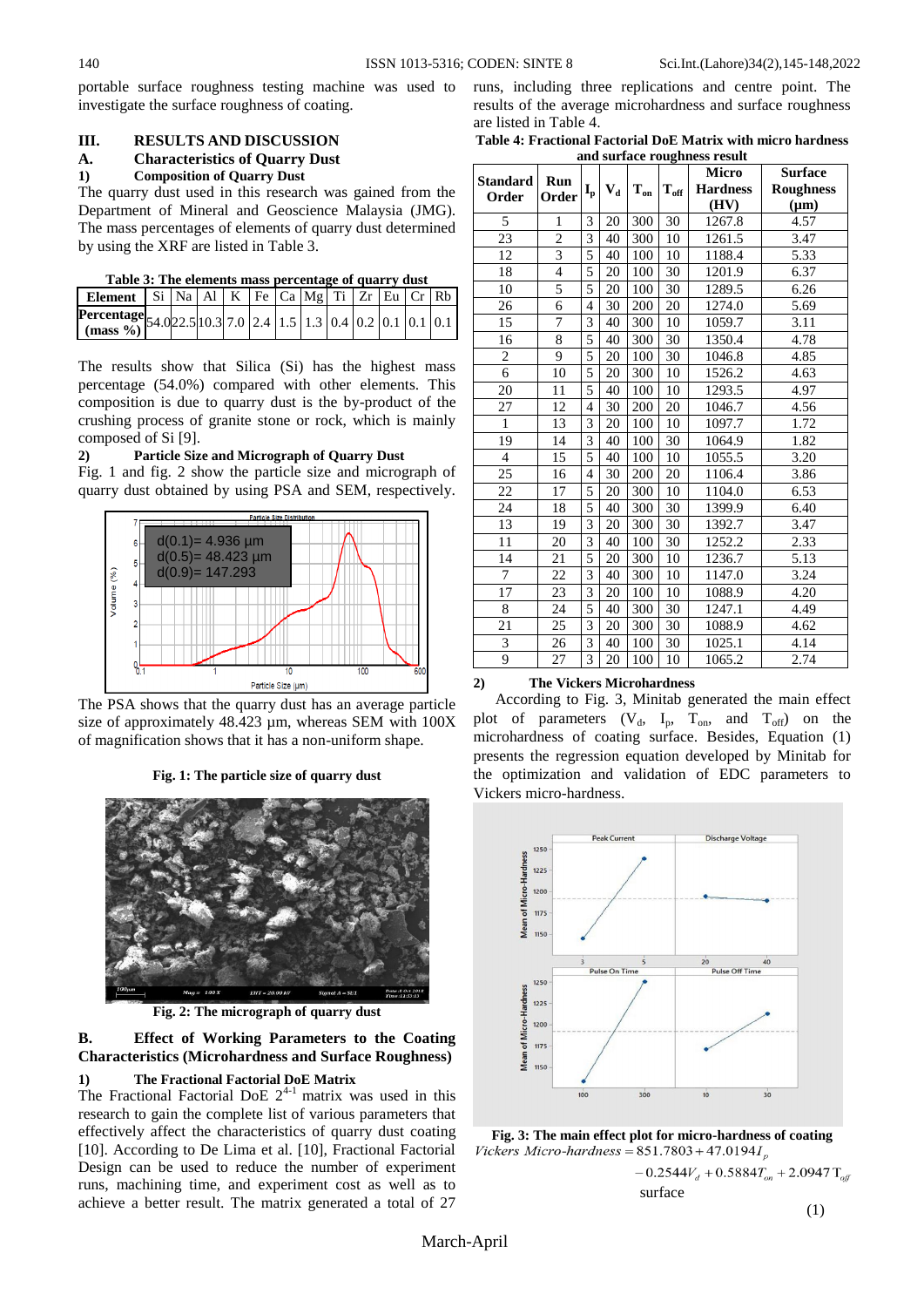portable surface roughness testing machine was used to investigate the surface roughness of coating.

# **III. RESULTS AND DISCUSSION**

## **A. Characteristics of Quarry Dust**

## **1) Composition of Quarry Dust**

The quarry dust used in this research was gained from the Department of Mineral and Geoscience Malaysia (JMG). The mass percentages of elements of quarry dust determined by using the XRF are listed in Table 3.

| Element   Si   Na   Al   K   Fe   Ca   Mg   Ti   Zr   Eu   Cr   Rb       |  |  |  |  |  |  |
|--------------------------------------------------------------------------|--|--|--|--|--|--|
| <b>Percentage</b> 54.0 22.5 10.3 7.0 2.4 1.5 1.3 0.4 0.2 0.1 0.1 0.1 0.1 |  |  |  |  |  |  |
|                                                                          |  |  |  |  |  |  |

The results show that Silica (Si) has the highest mass percentage (54.0%) compared with other elements. This composition is due to quarry dust is the by-product of the crushing process of granite stone or rock, which is mainly composed of Si [9].

#### **2) Particle Size and Micrograph of Quarry Dust**

Fig. 1 and fig. 2 show the particle size and micrograph of quarry dust obtained by using PSA and SEM, respectively.



The PSA shows that the quarry dust has an average particle size of approximately 48.423 µm, whereas SEM with 100X of magnification shows that it has a non-uniform shape.

### **Fig. 1: The particle size of quarry dust**



**Fig. 2: The micrograph of quarry dust**

**B. Effect of Working Parameters to the Coating Characteristics (Microhardness and Surface Roughness)**

# **1) The Fractional Factorial DoE Matrix**

The Fractional Factorial DoE  $2^{4-1}$  matrix was used in this research to gain the complete list of various parameters that effectively affect the characteristics of quarry dust coating [10]. According to De Lima et al. [10], Fractional Factorial Design can be used to reduce the number of experiment runs, machining time, and experiment cost as well as to achieve a better result. The matrix generated a total of 27

|                        | runs, including three replications and centre point. The   |  |  |
|------------------------|------------------------------------------------------------|--|--|
|                        | results of the average microhardness and surface roughness |  |  |
| are listed in Table 4. |                                                            |  |  |

**Table 4: Fractional Factorial DoE Matrix with micro hardness and surface roughness result**

|                         |                |                           |         |                          |                    | anu surrace roughness result<br><b>Micro</b> | <b>Surface</b>   |
|-------------------------|----------------|---------------------------|---------|--------------------------|--------------------|----------------------------------------------|------------------|
| <b>Standard</b>         | Run            | $\mathbf{I}_{\mathbf{p}}$ | $V_{d}$ | $\mathbf{T}_{\text{on}}$ | $\mathbf{T_{off}}$ | <b>Hardness</b>                              | <b>Roughness</b> |
| Order                   | Order          |                           |         |                          |                    | (HV)                                         | $(\mu m)$        |
| 5                       | 1              | 3                         | 20      | 300                      | 30                 | 1267.8                                       | 4.57             |
| 23                      | $\overline{2}$ | 3                         | 40      | 300                      | 10                 | 1261.5                                       | 3.47             |
| 12                      | $\overline{3}$ | $\overline{5}$            | 40      | 100                      | 10                 | 1188.4                                       | 5.33             |
| 18                      | $\overline{4}$ | 5                         | 20      | 100                      | 30                 | 1201.9                                       | 6.37             |
| 10                      | 5              | $\overline{5}$            | 20      | 100                      | 30                 | 1289.5                                       | 6.26             |
| 26                      | 6              | $\overline{4}$            | 30      | 200                      | 20                 | 1274.0                                       | 5.69             |
| 15                      | 7              | 3                         | 40      | 300                      | 10                 | 1059.7                                       | 3.11             |
| 16                      | $\overline{8}$ | $\overline{5}$            | 40      | 300                      | 30                 | 1350.4                                       | 4.78             |
| $\overline{c}$          | 9              | 5                         | 20      | 100                      | 30                 | 1046.8                                       | 4.85             |
| $\overline{6}$          | 10             | 5                         | 20      | 300                      | 10                 | 1526.2                                       | 4.63             |
| 20                      | 11             | 5                         | 40      | 100                      | 10                 | 1293.5                                       | 4.97             |
| 27                      | 12             | $\overline{4}$            | 30      | 200                      | 20                 | 1046.7                                       | 4.56             |
| $\mathbf{1}$            | 13             | 3                         | 20      | 100                      | 10                 | 1097.7                                       | 1.72             |
| 19                      | 14             | $\overline{3}$            | 40      | 100                      | $\overline{30}$    | 1064.9                                       | 1.82             |
| $\overline{4}$          | 15             | 5                         | 40      | 100                      | 10                 | 1055.5                                       | 3.20             |
| 25                      | 16             | $\overline{4}$            | 30      | 200                      | 20                 | 1106.4                                       | 3.86             |
| 22                      | 17             | 5                         | 20      | 300                      | 10                 | 1104.0                                       | 6.53             |
| 24                      | 18             | 5                         | 40      | 300                      | 30                 | 1399.9                                       | 6.40             |
| 13                      | 19             | $\overline{3}$            | 20      | 300                      | 30                 | 1392.7                                       | 3.47             |
| 11                      | 20             | 3                         | 40      | 100                      | 30                 | 1252.2                                       | 2.33             |
| 14                      | 21             | 5                         | 20      | 300                      | 10                 | 1236.7                                       | 5.13             |
| 7                       | 22             | 3                         | 40      | 300                      | 10                 | 1147.0                                       | 3.24             |
| 17                      | 23             | $\overline{3}$            | 20      | 100                      | 10                 | 1088.9                                       | 4.20             |
| 8                       | 24             | 5                         | 40      | 300                      | 30                 | 1247.1                                       | 4.49             |
| 21                      | 25             | 3                         | 20      | 300                      | 30                 | 1088.9                                       | 4.62             |
| $\overline{\mathbf{3}}$ | 26             | $\overline{3}$            | 40      | 100                      | 30                 | 1025.1                                       | 4.14             |
| 9                       | 27             | 3                         | 20      | 100                      | 10                 | 1065.2                                       | 2.74             |

### **2) The Vickers Microhardness**

According to Fig. 3, Minitab generated the main effect plot of parameters  $(V_d, I_p, T_{on}, and T_{off})$  on the microhardness of coating surface. Besides, Equation (1) presents the regression equation developed by Minitab for the optimization and validation of EDC parameters to Vickers micro-hardness.





(1)

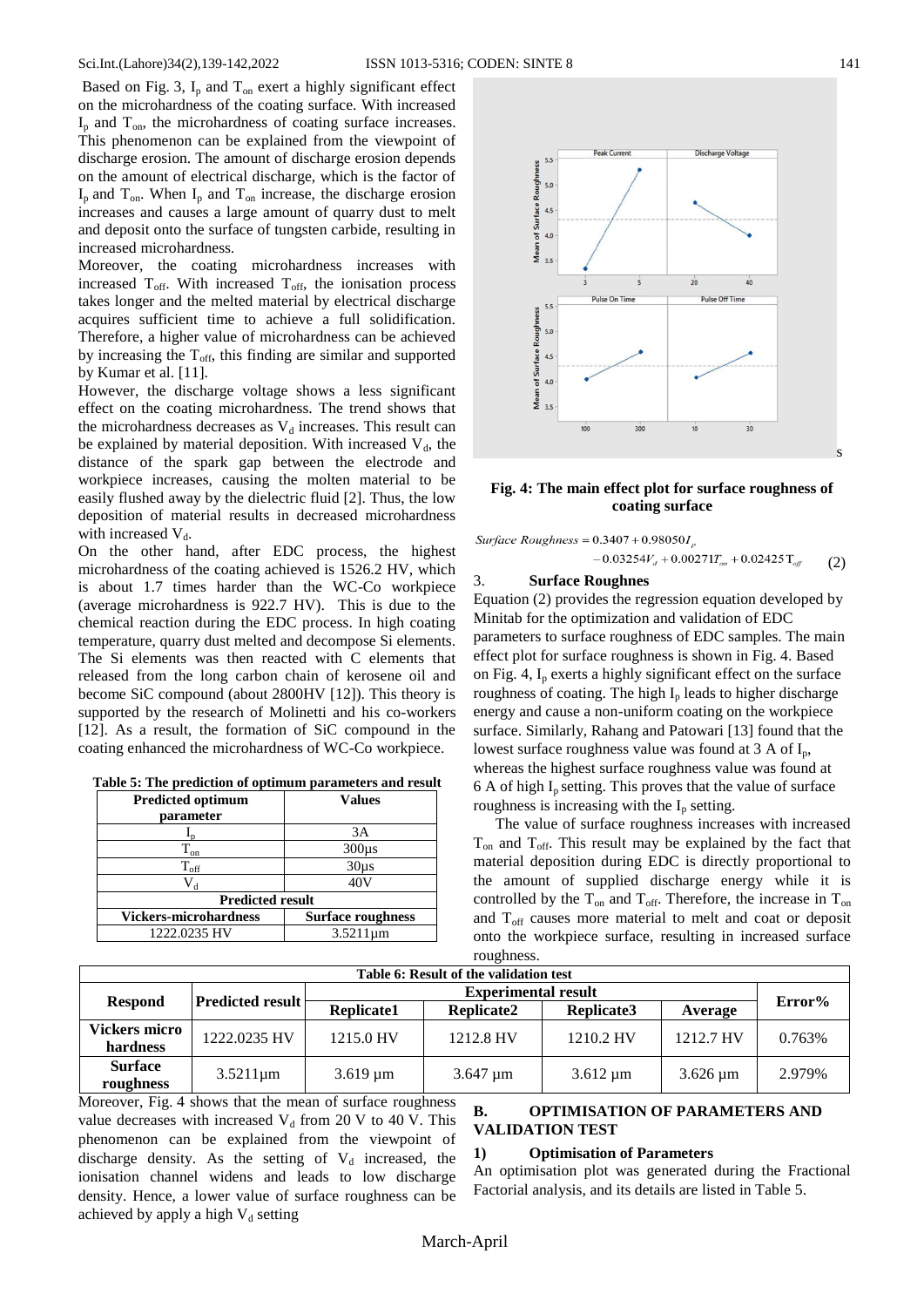Based on Fig. 3,  $I_p$  and  $T_{on}$  exert a highly significant effect on the microhardness of the coating surface. With increased  $I_p$  and  $T_{on}$ , the microhardness of coating surface increases. This phenomenon can be explained from the viewpoint of discharge erosion. The amount of discharge erosion depends on the amount of electrical discharge, which is the factor of  $I_p$  and  $T_{on}$ . When  $I_p$  and  $T_{on}$  increase, the discharge erosion increases and causes a large amount of quarry dust to melt and deposit onto the surface of tungsten carbide, resulting in increased microhardness.

Moreover, the coating microhardness increases with increased  $T_{\text{off}}$ . With increased  $T_{\text{off}}$ , the ionisation process takes longer and the melted material by electrical discharge acquires sufficient time to achieve a full solidification. Therefore, a higher value of microhardness can be achieved by increasing the  $T_{\text{off}}$ , this finding are similar and supported by Kumar et al. [11].

However, the discharge voltage shows a less significant effect on the coating microhardness. The trend shows that the microhardness decreases as  $V_d$  increases. This result can be explained by material deposition. With increased  $V<sub>d</sub>$ , the distance of the spark gap between the electrode and workpiece increases, causing the molten material to be easily flushed away by the dielectric fluid [2]. Thus, the low deposition of material results in decreased microhardness with increased  $V_d$ .

On the other hand, after EDC process, the highest microhardness of the coating achieved is 1526.2 HV, which is about 1.7 times harder than the WC-Co workpiece (average microhardness is 922.7 HV). This is due to the chemical reaction during the EDC process. In high coating temperature, quarry dust melted and decompose Si elements. The Si elements was then reacted with C elements that released from the long carbon chain of kerosene oil and become SiC compound (about 2800HV [12]). This theory is supported by the research of Molinetti and his co-workers [12]. As a result, the formation of SiC compound in the coating enhanced the microhardness of WC-Co workpiece.

| <b>Predicted optimum</b>     | <b>Values</b>            |
|------------------------------|--------------------------|
| parameter                    |                          |
|                              | 3A                       |
| $\Gamma_{\text{on}}$         | $300\mu s$               |
| $\rm T_{off}$                | $30\mu s$                |
| V <sub>d</sub>               | 40V                      |
| <b>Predicted result</b>      |                          |
| <b>Vickers-microhardness</b> | <b>Surface roughness</b> |
| 1222.0235 HV                 | $3.5211 \mu m$           |



### **Fig. 4: The main effect plot for surface roughness of coating surface**

Surface Roughness =  $0.3407 + 0.98050I_n$ 

 $-0.03254V_d + 0.00271T_{on} + 0.02425T_{off}$ (2)

#### 3. **Surface Roughnes**

Equation (2) provides the regression equation developed by Minitab for the optimization and validation of EDC parameters to surface roughness of EDC samples. The main effect plot for surface roughness is shown in Fig. 4. Based on Fig. 4,  $I_p$  exerts a highly significant effect on the surface roughness of coating. The high  $I_p$  leads to higher discharge energy and cause a non-uniform coating on the workpiece surface. Similarly, Rahang and Patowari [13] found that the lowest surface roughness value was found at  $3 A of I_n$ , whereas the highest surface roughness value was found at  $6$  A of high  $I_p$  setting. This proves that the value of surface roughness is increasing with the  $I_p$  setting.

The value of surface roughness increases with increased  $T_{on}$  and  $T_{off}$ . This result may be explained by the fact that material deposition during EDC is directly proportional to the amount of supplied discharge energy while it is controlled by the  $T_{on}$  and  $T_{off}$ . Therefore, the increase in  $T_{on}$ and  $T_{\text{off}}$  causes more material to melt and coat or deposit onto the workpiece surface, resulting in increased surface

| roughness.                             |                         |                          |                          |               |                    |        |  |  |  |  |
|----------------------------------------|-------------------------|--------------------------|--------------------------|---------------|--------------------|--------|--|--|--|--|
| Table 6: Result of the validation test |                         |                          |                          |               |                    |        |  |  |  |  |
|                                        |                         |                          |                          |               |                    |        |  |  |  |  |
| <b>Respond</b>                         | <b>Predicted result</b> | Replicate1               | <b>Replicate2</b>        | Replicate3    | Average            | Error% |  |  |  |  |
| <b>Vickers micro</b>                   | 1222.0235 HV            | 1215.0 HV                | 1212.8 HV                | 1210.2 HV     | 1212.7 HV          | 0.763% |  |  |  |  |
| hardness                               |                         |                          |                          |               |                    |        |  |  |  |  |
| <b>Surface</b><br>roughness            | $3.5211 \mu m$          | $3.619 \,\mathrm{\mu m}$ | $3.647 \,\mathrm{\mu m}$ | $3.612 \mu m$ | $3.626 \text{ µm}$ | 2.979% |  |  |  |  |
|                                        |                         |                          |                          |               |                    |        |  |  |  |  |

Moreover, Fig. 4 shows that the mean of surface roughness value decreases with increased  $V_d$  from 20 V to 40 V. This phenomenon can be explained from the viewpoint of discharge density. As the setting of  $V_d$  increased, the ionisation channel widens and leads to low discharge density. Hence, a lower value of surface roughness can be achieved by apply a high  $V_d$  setting

# **B. OPTIMISATION OF PARAMETERS AND VALIDATION TEST**

### **1) Optimisation of Parameters**

An optimisation plot was generated during the Fractional Factorial analysis, and its details are listed in Table 5.